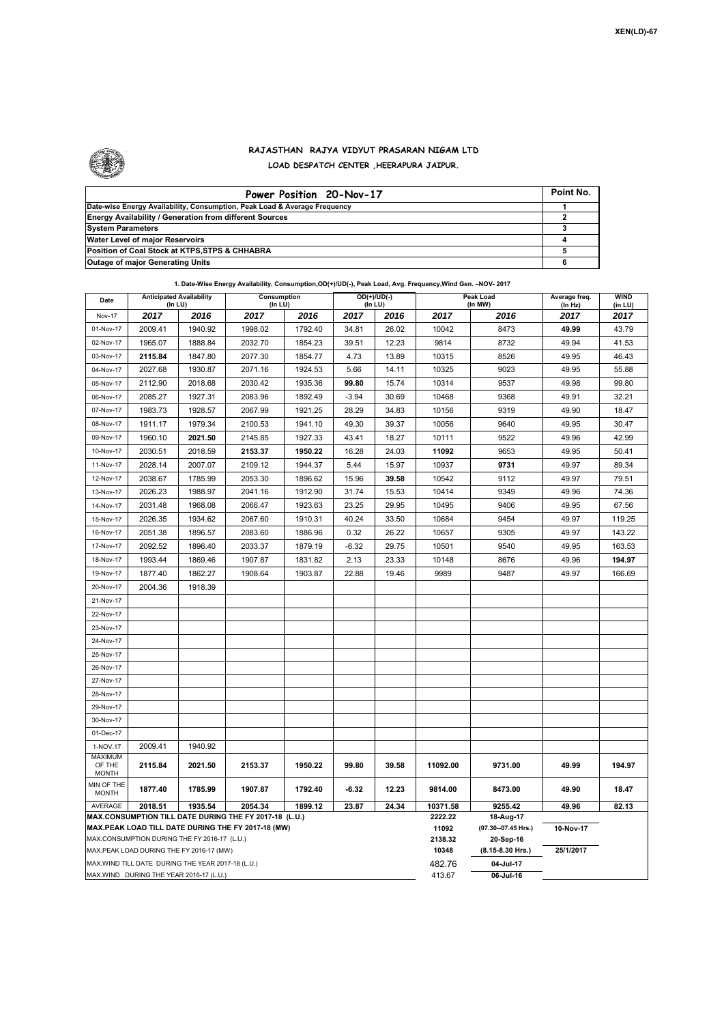

## **RAJASTHAN RAJYA VIDYUT PRASARAN NIGAM LTD LOAD DESPATCH CENTER ,HEERAPURA JAIPUR.**

| Power Position 20-Nov-17                                                  | Point No. |
|---------------------------------------------------------------------------|-----------|
| Date-wise Energy Availability, Consumption, Peak Load & Average Frequency |           |
| <b>Energy Availability / Generation from different Sources</b>            |           |
| <b>System Parameters</b>                                                  |           |
| Water Level of major Reservoirs                                           |           |
| Position of Coal Stock at KTPS, STPS & CHHABRA                            |           |
| <b>Outage of major Generating Units</b>                                   |           |

|                                          |                                                                      |         | 1. Date-Wise Energy Availability, Consumption, OD(+)/UD(-), Peak Load, Avg. Frequency, Wind Gen. - NOV-2017  |         |                          |       |                  |                                  |                          |                        |
|------------------------------------------|----------------------------------------------------------------------|---------|--------------------------------------------------------------------------------------------------------------|---------|--------------------------|-------|------------------|----------------------------------|--------------------------|------------------------|
| Date                                     | <b>Anticipated Availability</b><br>Consumption<br>(In LU)<br>(In LU) |         |                                                                                                              |         | $OD(+)/UD(-)$<br>(In LU) |       |                  | <b>Peak Load</b><br>(In MW)      | Average freq.<br>(In Hz) | <b>WIND</b><br>(in LU) |
| Nov-17                                   | 2017                                                                 | 2016    | 2017                                                                                                         | 2016    | 2017                     | 2016  | 2017             | 2016                             | 2017                     | 2017                   |
| 01-Nov-17                                | 2009.41                                                              | 1940.92 | 1998.02                                                                                                      | 1792.40 | 34.81                    | 26.02 | 10042            | 8473                             | 49.99                    | 43.79                  |
| 02-Nov-17                                | 1965.07                                                              | 1888.84 | 2032.70                                                                                                      | 1854.23 | 39.51                    | 12.23 | 9814             | 8732                             | 49.94                    | 41.53                  |
| 03-Nov-17                                | 2115.84                                                              | 1847.80 | 2077.30                                                                                                      | 1854.77 | 4.73                     | 13.89 | 10315            | 8526                             | 49.95                    | 46.43                  |
| 04-Nov-17                                | 2027.68                                                              | 1930.87 | 2071.16                                                                                                      | 1924.53 | 5.66                     | 14.11 | 10325            | 9023                             | 49.95                    | 55.88                  |
| 05-Nov-17                                | 2112.90                                                              | 2018.68 | 2030.42                                                                                                      | 1935.36 | 99.80                    | 15.74 | 10314            | 9537                             | 49.98                    | 99.80                  |
| 06-Nov-17                                | 2085.27                                                              | 1927.31 | 2083.96                                                                                                      | 1892.49 | $-3.94$                  | 30.69 | 10468            | 9368                             | 49.91                    | 32.21                  |
| 07-Nov-17                                | 1983.73                                                              | 1928.57 | 2067.99                                                                                                      | 1921.25 | 28.29                    | 34.83 | 10156            | 9319                             | 49.90                    | 18.47                  |
| 08-Nov-17                                | 1911.17                                                              | 1979.34 | 2100.53                                                                                                      | 1941.10 | 49.30                    | 39.37 | 10056            | 9640                             | 49.95                    | 30.47                  |
| 09-Nov-17                                | 1960.10                                                              | 2021.50 | 2145.85                                                                                                      | 1927.33 | 43.41                    | 18.27 | 10111            | 9522                             | 49.96                    | 42.99                  |
| 10-Nov-17                                | 2030.51                                                              | 2018.59 | 2153.37                                                                                                      | 1950.22 | 16.28                    | 24.03 | 11092            | 9653                             | 49.95                    | 50.41                  |
| 11-Nov-17                                | 2028.14                                                              | 2007.07 | 2109.12                                                                                                      | 1944.37 | 5.44                     | 15.97 | 10937            | 9731                             | 49.97                    | 89.34                  |
| 12-Nov-17                                | 2038.67                                                              | 1785.99 | 2053.30                                                                                                      | 1896.62 | 15.96                    | 39.58 | 10542            | 9112                             | 49.97                    | 79.51                  |
| 13-Nov-17                                | 2026.23                                                              | 1988.97 | 2041.16                                                                                                      | 1912.90 | 31.74                    | 15.53 | 10414            | 9349                             | 49.96                    | 74.36                  |
| 14-Nov-17                                | 2031.48                                                              | 1968.08 | 2066.47                                                                                                      | 1923.63 | 23.25                    | 29.95 | 10495            | 9406                             | 49.95                    | 67.56                  |
| 15-Nov-17                                | 2026.35                                                              | 1934.62 | 2067.60                                                                                                      | 1910.31 | 40.24                    | 33.50 | 10684            | 9454                             | 49.97                    | 119.25                 |
| 16-Nov-17                                | 2051.38                                                              | 1896.57 | 2083.60                                                                                                      | 1886.96 | 0.32                     | 26.22 | 10657            | 9305                             | 49.97                    | 143.22                 |
| 17-Nov-17                                | 2092.52                                                              | 1896.40 | 2033.37                                                                                                      | 1879.19 | $-6.32$                  | 29.75 | 10501            | 9540                             | 49.95                    | 163.53                 |
| 18-Nov-17                                | 1993.44                                                              | 1869.46 | 1907.87                                                                                                      | 1831.82 | 2.13                     | 23.33 | 10148            | 8676                             | 49.96                    | 194.97                 |
| 19-Nov-17                                | 1877.40                                                              | 1862.27 | 1908.64                                                                                                      | 1903.87 | 22.88                    | 19.46 | 9989             | 9487                             | 49.97                    | 166.69                 |
| 20-Nov-17                                | 2004.36                                                              | 1918.39 |                                                                                                              |         |                          |       |                  |                                  |                          |                        |
| 21-Nov-17                                |                                                                      |         |                                                                                                              |         |                          |       |                  |                                  |                          |                        |
| 22-Nov-17                                |                                                                      |         |                                                                                                              |         |                          |       |                  |                                  |                          |                        |
| 23-Nov-17                                |                                                                      |         |                                                                                                              |         |                          |       |                  |                                  |                          |                        |
| 24-Nov-17                                |                                                                      |         |                                                                                                              |         |                          |       |                  |                                  |                          |                        |
| 25-Nov-17                                |                                                                      |         |                                                                                                              |         |                          |       |                  |                                  |                          |                        |
| 26-Nov-17                                |                                                                      |         |                                                                                                              |         |                          |       |                  |                                  |                          |                        |
| 27-Nov-17                                |                                                                      |         |                                                                                                              |         |                          |       |                  |                                  |                          |                        |
| 28-Nov-17                                |                                                                      |         |                                                                                                              |         |                          |       |                  |                                  |                          |                        |
| 29-Nov-17                                |                                                                      |         |                                                                                                              |         |                          |       |                  |                                  |                          |                        |
| 30-Nov-17                                |                                                                      |         |                                                                                                              |         |                          |       |                  |                                  |                          |                        |
| 01-Dec-17                                |                                                                      |         |                                                                                                              |         |                          |       |                  |                                  |                          |                        |
| 1-NOV.17                                 | 2009.41                                                              | 1940.92 |                                                                                                              |         |                          |       |                  |                                  |                          |                        |
| <b>MAXIMUM</b><br>OF THE<br><b>MONTH</b> | 2115.84                                                              | 2021.50 | 2153.37                                                                                                      | 1950.22 | 99.80                    | 39.58 | 11092.00         | 9731.00                          | 49.99                    | 194.97                 |
| MIN OF THE<br><b>MONTH</b>               | 1877.40                                                              | 1785.99 | 1907.87                                                                                                      | 1792.40 | $-6.32$                  | 12.23 | 9814.00          | 8473.00                          | 49.90                    | 18.47                  |
| AVERAGE                                  | 2018.51                                                              | 1935.54 | 2054.34                                                                                                      | 1899.12 | 23.87                    | 24.34 | 10371.58         | 9255.42                          | 49.96                    | 82.13                  |
|                                          |                                                                      |         | MAX.CONSUMPTION TILL DATE DURING THE FY 2017-18 (L.U.)<br>MAX.PEAK LOAD TILL DATE DURING THE FY 2017-18 (MW) |         |                          |       | 2222.22<br>11092 | 18-Aug-17<br>(07.30--07.45 Hrs.) | 10-Nov-17                |                        |
|                                          | MAX.CONSUMPTION DURING THE FY 2016-17 (L.U.)                         |         |                                                                                                              |         |                          |       | 2138.32          | 20-Sep-16                        |                          |                        |
|                                          | MAX.PEAK LOAD DURING THE FY 2016-17 (MW)                             |         |                                                                                                              |         |                          |       | 10348            | $(8.15 - 8.30$ Hrs.)             | 25/1/2017                |                        |
|                                          | MAX. WIND TILL DATE DURING THE YEAR 2017-18 (L.U.)                   |         |                                                                                                              |         |                          |       | 482.76           | 04-Jul-17                        |                          |                        |
|                                          | MAX.WIND DURING THE YEAR 2016-17 (L.U.)                              |         |                                                                                                              |         |                          |       | 413.67           | 06-Jul-16                        |                          |                        |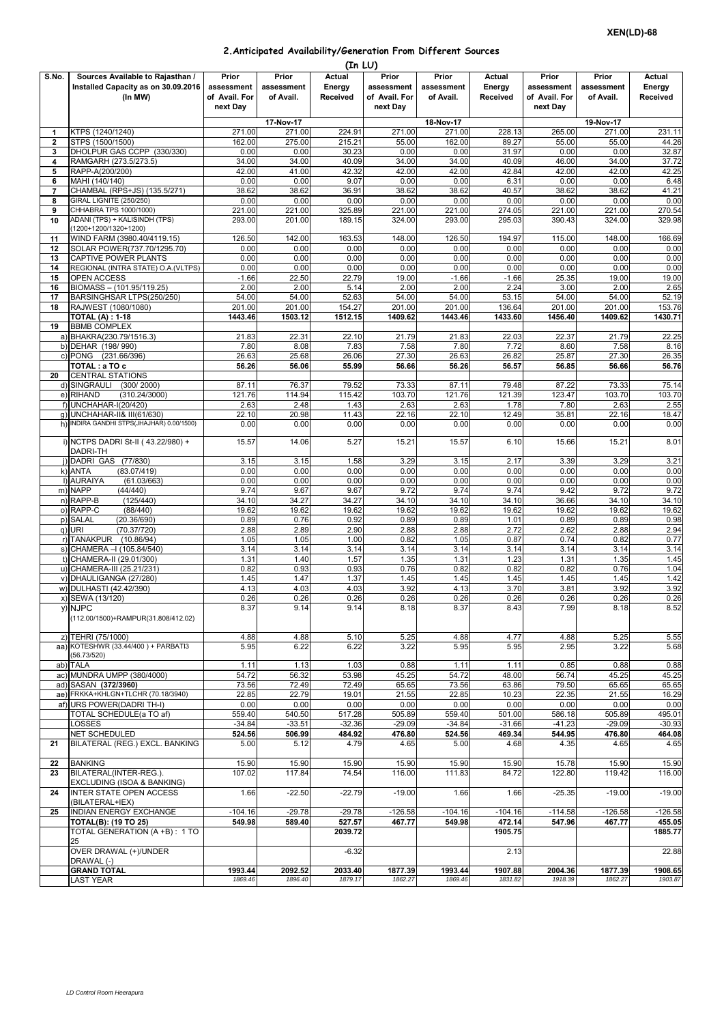## **2.Anticipated Availability/Generation From Different Sources**

|                | (In LU)                                                            |                           |                  |                   |                           |                  |                   |                 |                 |                   |  |  |
|----------------|--------------------------------------------------------------------|---------------------------|------------------|-------------------|---------------------------|------------------|-------------------|-----------------|-----------------|-------------------|--|--|
| S.No.          | Sources Available to Rajasthan /                                   | Prior                     | Prior            | Actual            | Prior                     | Prior            | Actual            | Prior           | Prior           | <b>Actual</b>     |  |  |
|                | Installed Capacity as on 30.09.2016                                | assessment                | assessment       | Energy            | assessment                | assessment       | Energy            | assessment      | assessment      | Energy            |  |  |
|                | (In MW)                                                            | of Avail. For<br>next Dav | of Avail.        | Received          | of Avail. For<br>next Day | of Avail.        | Received          | of Avail. For   | of Avail.       | Received          |  |  |
|                |                                                                    |                           |                  |                   |                           |                  |                   | next Day        |                 |                   |  |  |
|                |                                                                    |                           | 17-Nov-17        |                   |                           | 18-Nov-17        |                   |                 | 19-Nov-17       |                   |  |  |
| 1<br>2         | KTPS (1240/1240)<br>STPS (1500/1500)                               | 271.00<br>162.00          | 271.00<br>275.00 | 224.91<br>215.21  | 271.00<br>55.00           | 271.00<br>162.00 | 228.13<br>89.27   | 265.00<br>55.00 | 271.00<br>55.00 | 231.11<br>44.26   |  |  |
| 3              | DHOLPUR GAS CCPP (330/330)                                         | 0.00                      | 0.00             | 30.23             | 0.00                      | 0.00             | 31.97             | 0.00            | 0.00            | 32.87             |  |  |
| 4              | RAMGARH (273.5/273.5)                                              | 34.00                     | 34.00            | 40.09             | 34.00                     | 34.00            | 40.09             | 46.00           | 34.00           | 37.72             |  |  |
| 5              | RAPP-A(200/200)                                                    | 42.00                     | 41.00            | 42.32             | 42.00                     | 42.00            | 42.84             | 42.00           | 42.00           | 42.25             |  |  |
| 6              | MAHI (140/140)                                                     | 0.00                      | 0.00             | 9.07              | 0.00                      | 0.00             | 6.31              | 0.00            | 0.00            | 6.48              |  |  |
| $\overline{7}$ | CHAMBAL (RPS+JS) (135.5/271)                                       | 38.62                     | 38.62            | 36.91             | 38.62                     | 38.62            | 40.57             | 38.62           | 38.62           | 41.21             |  |  |
| 8<br>9         | GIRAL LIGNITE (250/250)<br>CHHABRA TPS 1000/1000)                  | 0.00<br>221.00            | 0.00<br>221.00   | 0.00<br>325.89    | 0.00<br>221.00            | 0.00<br>221.00   | 0.00<br>274.05    | 0.00<br>221.00  | 0.00<br>221.00  | 0.00<br>270.54    |  |  |
| 10             | ADANI (TPS) + KALISINDH (TPS)                                      | 293.00                    | 201.00           | 189.15            | 324.00                    | 293.00           | 295.03            | 390.43          | 324.00          | 329.98            |  |  |
|                | (1200+1200/1320+1200)                                              |                           |                  |                   |                           |                  |                   |                 |                 |                   |  |  |
| 11             | WIND FARM (3980.40/4119.15)                                        | 126.50                    | 142.00           | 163.53            | 148.00                    | 126.50           | 194.97            | 115.00          | 148.00          | 166.69            |  |  |
| 12             | SOLAR POWER(737.70/1295.70)                                        | 0.00                      | 0.00             | 0.00              | 0.00                      | 0.00             | 0.00              | 0.00            | 0.00            | 0.00              |  |  |
| 13<br>14       | <b>CAPTIVE POWER PLANTS</b><br>REGIONAL (INTRA STATE) O.A. (VLTPS) | 0.00<br>0.00              | 0.00<br>0.00     | 0.00<br>0.00      | 0.00<br>0.00              | 0.00<br>0.00     | 0.00<br>0.00      | 0.00<br>0.00    | 0.00<br>0.00    | 0.00<br>0.00      |  |  |
| 15             | <b>OPEN ACCESS</b>                                                 | $-1.66$                   | 22.50            | 22.79             | 19.00                     | $-1.66$          | $-1.66$           | 25.35           | 19.00           | 19.00             |  |  |
| 16             | BIOMASS - (101.95/119.25)                                          | 2.00                      | 2.00             | 5.14              | 2.00                      | 2.00             | 2.24              | 3.00            | 2.00            | 2.65              |  |  |
| 17             | BARSINGHSAR LTPS(250/250)                                          | 54.00                     | 54.00            | 52.63             | 54.00                     | 54.00            | 53.15             | 54.00           | 54.00           | 52.19             |  |  |
| 18             | RAJWEST (1080/1080)                                                | 201.00                    | 201.00           | 154.27            | 201.00                    | 201.00           | 136.64            | 201.00          | 201.00          | 153.76            |  |  |
| 19             | <b>TOTAL (A): 1-18</b><br><b>BBMB COMPLEX</b>                      | 1443.46                   | 1503.12          | 1512.15           | 1409.62                   | 1443.46          | 1433.60           | 1456.40         | 1409.62         | 1430.71           |  |  |
|                | a) BHAKRA(230.79/1516.3)                                           | 21.83                     | 22.31            | 22.10             | 21.79                     | 21.83            | 22.03             | 22.37           | 21.79           | 22.25             |  |  |
|                | b) DEHAR (198/990)                                                 | 7.80                      | 8.08             | 7.83              | 7.58                      | 7.80             | 7.72              | 8.60            | 7.58            | 8.16              |  |  |
|                | c) PONG (231.66/396)                                               | 26.63                     | 25.68            | 26.06             | 27.30                     | 26.63            | 26.82             | 25.87           | 27.30           | 26.35             |  |  |
|                | TOTAL: a TO c                                                      | 56.26                     | 56.06            | 55.99             | 56.66                     | 56.26            | 56.57             | 56.85           | 56.66           | 56.76             |  |  |
| 20             | <b>CENTRAL STATIONS</b>                                            |                           |                  |                   |                           |                  |                   |                 |                 |                   |  |  |
|                | d) SINGRAULI<br>(300/2000)<br>e) RIHAND<br>(310.24/3000)           | 87.11<br>121.76           | 76.37<br>114.94  | 79.52<br>115.42   | 73.33<br>103.70           | 87.11<br>121.76  | 79.48<br>121.39   | 87.22<br>123.47 | 73.33<br>103.70 | 75.14<br>103.70   |  |  |
|                | f) UNCHAHAR-I(20/420)                                              | 2.63                      | 2.48             | 1.43              | 2.63                      | 2.63             | 1.78              | 7.80            | 2.63            | 2.55              |  |  |
|                | g) UNCHAHAR-II& III(61/630)                                        | 22.10                     | 20.98            | 11.43             | 22.16                     | 22.10            | 12.49             | 35.81           | 22.16           | 18.47             |  |  |
|                | h) INDIRA GANDHI STPS(JHAJHAR) 0.00/1500)                          | 0.00                      | 0.00             | 0.00              | 0.00                      | 0.00             | 0.00              | 0.00            | 0.00            | 0.00              |  |  |
|                | i) NCTPS DADRI St-II (43.22/980) +                                 |                           | 14.06            | 5.27              | 15.21                     | 15.57            | 6.10              |                 |                 | 8.01              |  |  |
|                | DADRI-TH                                                           | 15.57                     |                  |                   |                           |                  |                   | 15.66           | 15.21           |                   |  |  |
|                | ) DADRI GAS (77/830)                                               | 3.15                      | 3.15             | 1.58              | 3.29                      | 3.15             | 2.17              | 3.39            | 3.29            | 3.21              |  |  |
|                | (83.07/419)<br>k) ANTA                                             | 0.00                      | 0.00             | 0.00              | 0.00                      | 0.00             | 0.00              | 0.00            | 0.00            | 0.00              |  |  |
|                | I) AURAIYA<br>(61.03/663)                                          | 0.00                      | 0.00             | 0.00              | 0.00                      | 0.00             | 0.00              | 0.00            | 0.00            | 0.00              |  |  |
|                | m) NAPP<br>(44/440)                                                | 9.74                      | 9.67             | 9.67              | 9.72                      | 9.74             | 9.74              | 9.42            | 9.72            | 9.72              |  |  |
|                | n) RAPP-B<br>(125/440)<br>o) RAPP-C<br>(88/440)                    | 34.10<br>19.62            | 34.27<br>19.62   | 34.27<br>19.62    | 34.10<br>19.62            | 34.10<br>19.62   | 34.10<br>19.62    | 36.66<br>19.62  | 34.10<br>19.62  | 34.10<br>19.62    |  |  |
|                | (20.36/690)<br>p) SALAL                                            | 0.89                      | 0.76             | 0.92              | 0.89                      | 0.89             | 1.01              | 0.89            | 0.89            | 0.98              |  |  |
|                | q) URI<br>(70.37/720)                                              | 2.88                      | 2.89             | 2.90              | 2.88                      | 2.88             | 2.72              | 2.62            | 2.88            | 2.94              |  |  |
|                | r) TANAKPUR<br>(10.86/94)                                          | 1.05                      | 1.05             | 1.00              | 0.82                      | 1.05             | 0.87              | 0.74            | 0.82            | 0.77              |  |  |
|                | s) CHAMERA - (105.84/540)                                          | 3.14                      | 3.14             | 3.14              | 3.14                      | 3.14             | 3.14              | 3.14            | 3.14            | 3.14              |  |  |
|                | t) CHAMERA-II (29.01/300)                                          | 1.31                      | 1.40             | 1.57              | 1.35                      | 1.31             | 1.23              | 1.31            | 1.35            | 1.45              |  |  |
|                | u) CHAMERA-III (25.21/231)<br>v) DHAULIGANGA (27/280)              | 0.82<br>1.45              | 0.93<br>1.47     | 0.93<br>1.37      | 0.76<br>1.45              | 0.82<br>1.45     | 0.82<br>1.45      | 0.82<br>1.45    | 0.76<br>1.45    | 1.04<br>1.42      |  |  |
|                | w) DULHASTI (42.42/390)                                            | 4.13                      | 4.03             | 4.03              | 3.92                      | 4.13             | 3.70              | 3.81            | 3.92            | 3.92              |  |  |
|                | x) SEWA (13/120)                                                   | 0.26                      | 0.26             | 0.26              | 0.26                      | 0.26             | 0.26              | 0.26            | 0.26            | 0.26              |  |  |
|                | y) NJPC                                                            | 8.37                      | 9.14             | 9.14              | 8.18                      | 8.37             | 8.43              | 7.99            | 8.18            | 8.52              |  |  |
|                | (112.00/1500)+RAMPUR(31.808/412.02)                                |                           |                  |                   |                           |                  |                   |                 |                 |                   |  |  |
|                | z) TEHRI (75/1000)                                                 |                           |                  |                   |                           |                  |                   |                 |                 |                   |  |  |
|                | aa) KOTESHWR (33.44/400) + PARBATI3                                | 4.88<br>5.95              | 4.88<br>6.22     | 5.10<br>6.22      | 5.25<br>3.22              | 4.88<br>5.95     | 4.77<br>5.95      | 4.88<br>2.95    | 5.25<br>3.22    | 5.55<br>5.68      |  |  |
|                | (56.73/520)                                                        |                           |                  |                   |                           |                  |                   |                 |                 |                   |  |  |
|                | ab) TALA                                                           | 1.11                      | 1.13             | 1.03              | 0.88                      | 1.11             | 1.11              | 0.85            | 0.88            | 0.88              |  |  |
|                | ac) MUNDRA UMPP (380/4000)                                         | 54.72                     | 56.32            | 53.98             | 45.25                     | 54.72            | 48.00             | 56.74           | 45.25           | 45.25             |  |  |
|                | ad) SASAN (372/3960)<br>ae) FRKKA+KHLGN+TLCHR (70.18/3940)         | 73.56                     | 72.49            | 72.49             | 65.65                     | 73.56            | 63.86             | 79.50           | 65.65           | 65.65             |  |  |
|                | af) URS POWER(DADRI TH-I)                                          | 22.85<br>0.00             | 22.79<br>0.00    | 19.01<br>0.00     | 21.55<br>0.00             | 22.85<br>0.00    | 10.23<br>0.00     | 22.35<br>0.00   | 21.55<br>0.00   | 16.29<br>0.00     |  |  |
|                | TOTAL SCHEDULE(a TO af)                                            | 559.40                    | 540.50           | 517.28            | 505.89                    | 559.40           | 501.00            | 586.18          | 505.89          | 495.01            |  |  |
|                | LOSSES                                                             | $-34.84$                  | $-33.51$         | $-32.36$          | $-29.09$                  | $-34.84$         | $-31.66$          | $-41.23$        | $-29.09$        | $-30.93$          |  |  |
|                | <b>NET SCHEDULED</b>                                               | 524.56                    | 506.99           | 484.92            | 476.80                    | 524.56           | 469.34            | 544.95          | 476.80          | 464.08            |  |  |
| 21             | BILATERAL (REG.) EXCL. BANKING                                     | 5.00                      | 5.12             | 4.79              | 4.65                      | 5.00             | 4.68              | 4.35            | 4.65            | 4.65              |  |  |
| 22             | <b>BANKING</b>                                                     | 15.90                     | 15.90            | 15.90             | 15.90                     | 15.90            | 15.90             | 15.78           | 15.90           | 15.90             |  |  |
| 23             | BILATERAL(INTER-REG.).                                             | 107.02                    | 117.84           | 74.54             | 116.00                    | 111.83           | 84.72             | 122.80          | 119.42          | 116.00            |  |  |
|                | EXCLUDING (ISOA & BANKING)                                         |                           |                  |                   |                           |                  |                   |                 |                 |                   |  |  |
| 24             | <b>INTER STATE OPEN ACCESS</b>                                     | 1.66                      | $-22.50$         | $-22.79$          | $-19.00$                  | 1.66             | 1.66              | $-25.35$        | $-19.00$        | $-19.00$          |  |  |
|                | (BILATERAL+IEX)                                                    |                           |                  |                   |                           |                  |                   |                 |                 |                   |  |  |
| 25             | <b>INDIAN ENERGY EXCHANGE</b>                                      | $-104.16$                 | $-29.78$         | $-29.78$          | $-126.58$                 | $-104.16$        | $-104.16$         | $-114.58$       | $-126.58$       | $-126.58$         |  |  |
|                | <b>TOTAL(B): (19 TO 25)</b><br>TOTAL GENERATION (A +B) : 1 TO      | 549.98                    | 589.40           | 527.57<br>2039.72 | 467.77                    | 549.98           | 472.14<br>1905.75 | 547.96          | 467.77          | 455.05<br>1885.77 |  |  |
|                | 25                                                                 |                           |                  |                   |                           |                  |                   |                 |                 |                   |  |  |
|                | OVER DRAWAL (+)/UNDER                                              |                           |                  | $-6.32$           |                           |                  | 2.13              |                 |                 | 22.88             |  |  |
|                | DRAWAL (-)                                                         |                           |                  |                   |                           |                  |                   |                 |                 |                   |  |  |
|                | <b>GRAND TOTAL</b>                                                 | 1993.44                   | 2092.52          | 2033.40           | 1877.39                   | 1993.44          | 1907.88           | 2004.36         | 1877.39         | 1908.65           |  |  |
|                | <b>LAST YEAR</b>                                                   | 1869.46                   | 1896.40          | 1879.17           | 1862.27                   | 1869.46          | 1831.82           | 1918.39         | 1862.27         | 1903.87           |  |  |